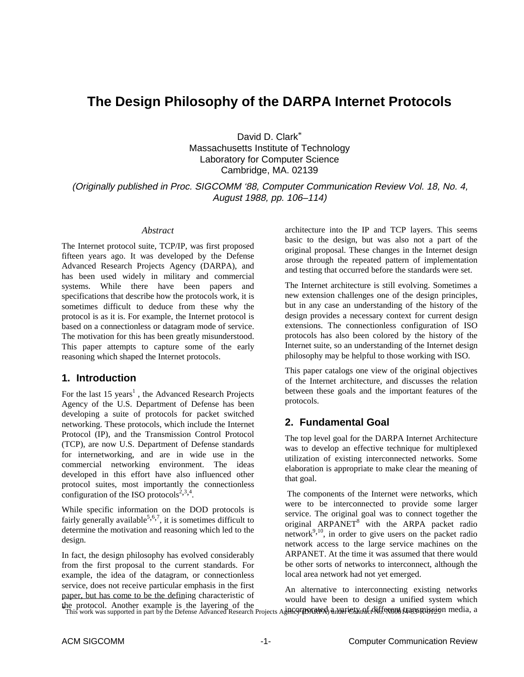# **The Design Philosophy of the DARPA Internet Protocols**

David D. Clark\* Massachusetts Institute of Technology Laboratory for Computer Science Cambridge, MA. 02139

(Originally published in Proc. SIGCOMM '88, Computer Communication Review Vol. 18, No. 4, August 1988, pp. 106–114)

#### *Abstract*

The Internet protocol suite, TCP/IP, was first proposed fifteen years ago. It was developed by the Defense Advanced Research Projects Agency (DARPA), and has been used widely in military and commercial systems. While there have been papers and specifications that describe how the protocols work, it is sometimes difficult to deduce from these why the protocol is as it is. For example, the Internet protocol is based on a connectionless or datagram mode of service. The motivation for this has been greatly misunderstood. This paper attempts to capture some of the early reasoning which shaped the Internet protocols.

#### **1. Introduction**

For the last 15 years<sup>1</sup>, the Advanced Research Projects Agency of the U.S. Department of Defense has been developing a suite of protocols for packet switched networking. These protocols, which include the Internet Protocol (IP), and the Transmission Control Protocol (TCP), are now U.S. Department of Defense standards for internetworking, and are in wide use in the commercial networking environment. The ideas developed in this effort have also influenced other protocol suites, most importantly the connectionless configuration of the ISO protocols<sup>2,3,4</sup>.

While specific information on the DOD protocols is fairly generally available<sup>5,6,7</sup>, it is sometimes difficult to determine the motivation and reasoning which led to the design.

 paper, but has come to be the defining characteristic of In fact, the design philosophy has evolved considerably from the first proposal to the current standards. For example, the idea of the datagram, or connectionless service, does not receive particular emphasis in the first

architecture into the IP and TCP layers. This seems basic to the design, but was also not a part of the original proposal. These changes in the Internet design arose through the repeated pattern of implementation and testing that occurred before the standards were set.

The Internet architecture is still evolving. Sometimes a new extension challenges one of the design principles, but in any case an understanding of the history of the design provides a necessary context for current design extensions. The connectionless configuration of ISO protocols has also been colored by the history of the Internet suite, so an understanding of the Internet design philosophy may be helpful to those working with ISO.

This paper catalogs one view of the original objectives of the Internet architecture, and discusses the relation between these goals and the important features of the protocols.

### **2. Fundamental Goal**

The top level goal for the DARPA Internet Architecture was to develop an effective technique for multiplexed utilization of existing interconnected networks. Some elaboration is appropriate to make clear the meaning of that goal.

 The components of the Internet were networks, which were to be interconnected to provide some larger service. The original goal was to connect together the original ARPANET<sup>8</sup> with the ARPA packet radio network $9,10$ , in order to give users on the packet radio network access to the large service machines on the ARPANET. At the time it was assumed that there would be other sorts of networks to interconnect, although the local area network had not yet emerged.

the protocol. Another example is the layering of the<br>This work was supported in part by the Defense Advanced Research Projects Agency ported anteried in the property in media, a An alternative to interconnecting existing networks would have been to design a unified system which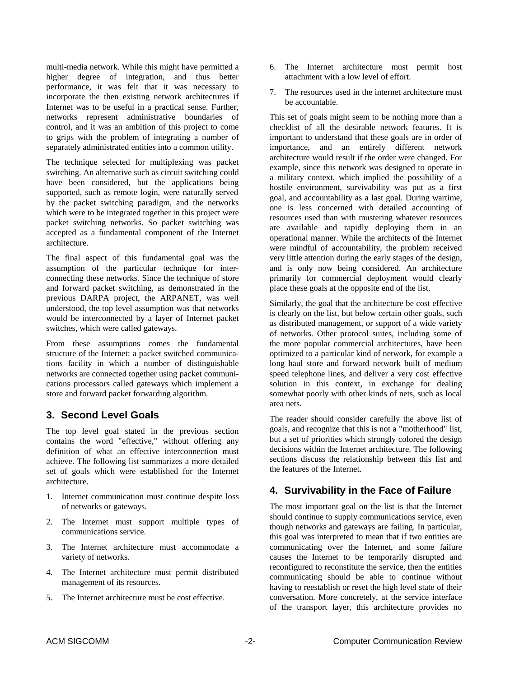multi-media network. While this might have permitted a higher degree of integration, and thus better performance, it was felt that it was necessary to incorporate the then existing network architectures if Internet was to be useful in a practical sense. Further, networks represent administrative boundaries of control, and it was an ambition of this project to come to grips with the problem of integrating a number of separately administrated entities into a common utility.

The technique selected for multiplexing was packet switching. An alternative such as circuit switching could have been considered, but the applications being supported, such as remote login, were naturally served by the packet switching paradigm, and the networks which were to be integrated together in this project were packet switching networks. So packet switching was accepted as a fundamental component of the Internet architecture.

The final aspect of this fundamental goal was the assumption of the particular technique for interconnecting these networks. Since the technique of store and forward packet switching, as demonstrated in the previous DARPA project, the ARPANET, was well understood, the top level assumption was that networks would be interconnected by a layer of Internet packet switches, which were called gateways.

From these assumptions comes the fundamental structure of the Internet: a packet switched communications facility in which a number of distinguishable networks are connected together using packet communications processors called gateways which implement a store and forward packet forwarding algorithm.

### **3. Second Level Goals**

The top level goal stated in the previous section contains the word "effective," without offering any definition of what an effective interconnection must achieve. The following list summarizes a more detailed set of goals which were established for the Internet architecture.

- 1. Internet communication must continue despite loss of networks or gateways.
- 2. The Internet must support multiple types of communications service.
- 3. The Internet architecture must accommodate a variety of networks.
- 4. The Internet architecture must permit distributed management of its resources.
- 5. The Internet architecture must be cost effective.
- 6. The Internet architecture must permit host attachment with a low level of effort.
- 7. The resources used in the internet architecture must be accountable.

This set of goals might seem to be nothing more than a checklist of all the desirable network features. It is important to understand that these goals are in order of importance, and an entirely different network architecture would result if the order were changed. For example, since this network was designed to operate in a military context, which implied the possibility of a hostile environment, survivability was put as a first goal, and accountability as a last goal. During wartime, one is less concerned with detailed accounting of resources used than with mustering whatever resources are available and rapidly deploying them in an operational manner. While the architects of the Internet were mindful of accountability, the problem received very little attention during the early stages of the design, and is only now being considered. An architecture primarily for commercial deployment would clearly place these goals at the opposite end of the list.

Similarly, the goal that the architecture be cost effective is clearly on the list, but below certain other goals, such as distributed management, or support of a wide variety of networks. Other protocol suites, including some of the more popular commercial architectures, have been optimized to a particular kind of network, for example a long haul store and forward network built of medium speed telephone lines, and deliver a very cost effective solution in this context, in exchange for dealing somewhat poorly with other kinds of nets, such as local area nets.

The reader should consider carefully the above list of goals, and recognize that this is not a "motherhood" list, but a set of priorities which strongly colored the design decisions within the Internet architecture. The following sections discuss the relationship between this list and the features of the Internet.

# **4. Survivability in the Face of Failure**

The most important goal on the list is that the Internet should continue to supply communications service, even though networks and gateways are failing. In particular, this goal was interpreted to mean that if two entities are communicating over the Internet, and some failure causes the Internet to be temporarily disrupted and reconfigured to reconstitute the service, then the entities communicating should be able to continue without having to reestablish or reset the high level state of their conversation. More concretely, at the service interface of the transport layer, this architecture provides no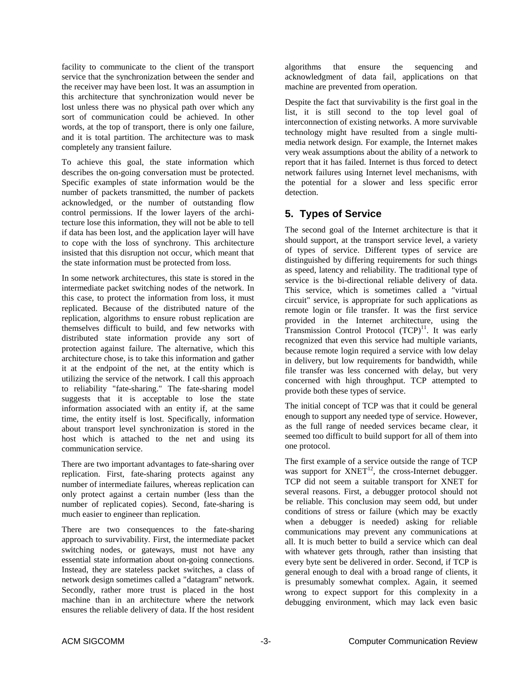facility to communicate to the client of the transport service that the synchronization between the sender and the receiver may have been lost. It was an assumption in this architecture that synchronization would never be lost unless there was no physical path over which any sort of communication could be achieved. In other words, at the top of transport, there is only one failure, and it is total partition. The architecture was to mask completely any transient failure.

To achieve this goal, the state information which describes the on-going conversation must be protected. Specific examples of state information would be the number of packets transmitted, the number of packets acknowledged, or the number of outstanding flow control permissions. If the lower layers of the architecture lose this information, they will not be able to tell if data has been lost, and the application layer will have to cope with the loss of synchrony. This architecture insisted that this disruption not occur, which meant that the state information must be protected from loss.

In some network architectures, this state is stored in the intermediate packet switching nodes of the network. In this case, to protect the information from loss, it must replicated. Because of the distributed nature of the replication, algorithms to ensure robust replication are themselves difficult to build, and few networks with distributed state information provide any sort of protection against failure. The alternative, which this architecture chose, is to take this information and gather it at the endpoint of the net, at the entity which is utilizing the service of the network. I call this approach to reliability "fate-sharing." The fate-sharing model suggests that it is acceptable to lose the state information associated with an entity if, at the same time, the entity itself is lost. Specifically, information about transport level synchronization is stored in the host which is attached to the net and using its communication service.

There are two important advantages to fate-sharing over replication. First, fate-sharing protects against any number of intermediate failures, whereas replication can only protect against a certain number (less than the number of replicated copies). Second, fate-sharing is much easier to engineer than replication.

There are two consequences to the fate-sharing approach to survivability. First, the intermediate packet switching nodes, or gateways, must not have any essential state information about on-going connections. Instead, they are stateless packet switches, a class of network design sometimes called a "datagram" network. Secondly, rather more trust is placed in the host machine than in an architecture where the network ensures the reliable delivery of data. If the host resident

algorithms that ensure the sequencing and acknowledgment of data fail, applications on that machine are prevented from operation.

Despite the fact that survivability is the first goal in the list, it is still second to the top level goal of interconnection of existing networks. A more survivable technology might have resulted from a single multimedia network design. For example, the Internet makes very weak assumptions about the ability of a network to report that it has failed. Internet is thus forced to detect network failures using Internet level mechanisms, with the potential for a slower and less specific error detection.

# **5. Types of Service**

The second goal of the Internet architecture is that it should support, at the transport service level, a variety of types of service. Different types of service are distinguished by differing requirements for such things as speed, latency and reliability. The traditional type of service is the bi-directional reliable delivery of data. This service, which is sometimes called a "virtual circuit" service, is appropriate for such applications as remote login or file transfer. It was the first service provided in the Internet architecture, using the Transmission Control Protocol  $(TCP)^{11}$ . It was early recognized that even this service had multiple variants, because remote login required a service with low delay in delivery, but low requirements for bandwidth, while file transfer was less concerned with delay, but very concerned with high throughput. TCP attempted to provide both these types of service.

The initial concept of TCP was that it could be general enough to support any needed type of service. However, as the full range of needed services became clear, it seemed too difficult to build support for all of them into one protocol.

The first example of a service outside the range of TCP was support for  $XNET^{12}$ , the cross-Internet debugger. TCP did not seem a suitable transport for XNET for several reasons. First, a debugger protocol should not be reliable. This conclusion may seem odd, but under conditions of stress or failure (which may be exactly when a debugger is needed) asking for reliable communications may prevent any communications at all. It is much better to build a service which can deal with whatever gets through, rather than insisting that every byte sent be delivered in order. Second, if TCP is general enough to deal with a broad range of clients, it is presumably somewhat complex. Again, it seemed wrong to expect support for this complexity in a debugging environment, which may lack even basic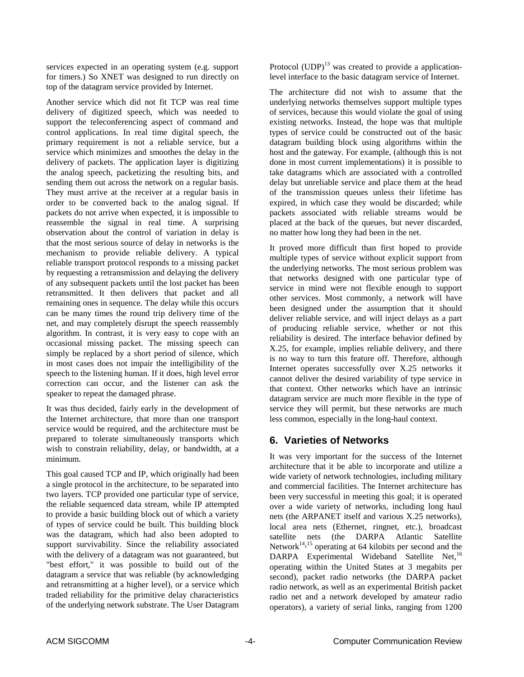services expected in an operating system (e.g. support for timers.) So XNET was designed to run directly on top of the datagram service provided by Internet.

Another service which did not fit TCP was real time delivery of digitized speech, which was needed to support the teleconferencing aspect of command and control applications. In real time digital speech, the primary requirement is not a reliable service, but a service which minimizes and smoothes the delay in the delivery of packets. The application layer is digitizing the analog speech, packetizing the resulting bits, and sending them out across the network on a regular basis. They must arrive at the receiver at a regular basis in order to be converted back to the analog signal. If packets do not arrive when expected, it is impossible to reassemble the signal in real time. A surprising observation about the control of variation in delay is that the most serious source of delay in networks is the mechanism to provide reliable delivery. A typical reliable transport protocol responds to a missing packet by requesting a retransmission and delaying the delivery of any subsequent packets until the lost packet has been retransmitted. It then delivers that packet and all remaining ones in sequence. The delay while this occurs can be many times the round trip delivery time of the net, and may completely disrupt the speech reassembly algorithm. In contrast, it is very easy to cope with an occasional missing packet. The missing speech can simply be replaced by a short period of silence, which in most cases does not impair the intelligibility of the speech to the listening human. If it does, high level error correction can occur, and the listener can ask the speaker to repeat the damaged phrase.

It was thus decided, fairly early in the development of the Internet architecture, that more than one transport service would be required, and the architecture must be prepared to tolerate simultaneously transports which wish to constrain reliability, delay, or bandwidth, at a minimum.

This goal caused TCP and IP, which originally had been a single protocol in the architecture, to be separated into two layers. TCP provided one particular type of service, the reliable sequenced data stream, while IP attempted to provide a basic building block out of which a variety of types of service could be built. This building block was the datagram, which had also been adopted to support survivability. Since the reliability associated with the delivery of a datagram was not guaranteed, but "best effort," it was possible to build out of the datagram a service that was reliable (by acknowledging and retransmitting at a higher level), or a service which traded reliability for the primitive delay characteristics of the underlying network substrate. The User Datagram

Protocol  $(UDP)^{13}$  was created to provide a applicationlevel interface to the basic datagram service of Internet.

The architecture did not wish to assume that the underlying networks themselves support multiple types of services, because this would violate the goal of using existing networks. Instead, the hope was that multiple types of service could be constructed out of the basic datagram building block using algorithms within the host and the gateway. For example, (although this is not done in most current implementations) it is possible to take datagrams which are associated with a controlled delay but unreliable service and place them at the head of the transmission queues unless their lifetime has expired, in which case they would be discarded; while packets associated with reliable streams would be placed at the back of the queues, but never discarded, no matter how long they had been in the net.

It proved more difficult than first hoped to provide multiple types of service without explicit support from the underlying networks. The most serious problem was that networks designed with one particular type of service in mind were not flexible enough to support other services. Most commonly, a network will have been designed under the assumption that it should deliver reliable service, and will inject delays as a part of producing reliable service, whether or not this reliability is desired. The interface behavior defined by X.25, for example, implies reliable delivery, and there is no way to turn this feature off. Therefore, although Internet operates successfully over X.25 networks it cannot deliver the desired variability of type service in that context. Other networks which have an intrinsic datagram service are much more flexible in the type of service they will permit, but these networks are much less common, especially in the long-haul context.

#### **6. Varieties of Networks**

It was very important for the success of the Internet architecture that it be able to incorporate and utilize a wide variety of network technologies, including military and commercial facilities. The Internet architecture has been very successful in meeting this goal; it is operated over a wide variety of networks, including long haul nets (the ARPANET itself and various X.25 networks), local area nets (Ethernet, ringnet, etc.), broadcast satellite nets (the DARPA Atlantic Satellite Network<sup>14,15</sup> operating at 64 kilobits per second and the DARPA Experimental Wideband Satellite Net,<sup>16</sup> operating within the United States at 3 megabits per second), packet radio networks (the DARPA packet radio network, as well as an experimental British packet radio net and a network developed by amateur radio operators), a variety of serial links, ranging from 1200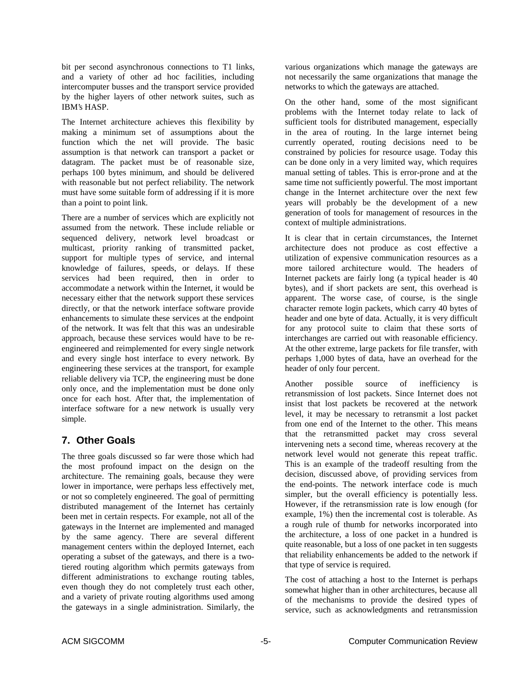bit per second asynchronous connections to T1 links, and a variety of other ad hoc facilities, including intercomputer busses and the transport service provided by the higher layers of other network suites, such as IBM's HASP.

The Internet architecture achieves this flexibility by making a minimum set of assumptions about the function which the net will provide. The basic assumption is that network can transport a packet or datagram. The packet must be of reasonable size, perhaps 100 bytes minimum, and should be delivered with reasonable but not perfect reliability. The network must have some suitable form of addressing if it is more than a point to point link.

There are a number of services which are explicitly not assumed from the network. These include reliable or sequenced delivery, network level broadcast or multicast, priority ranking of transmitted packet, support for multiple types of service, and internal knowledge of failures, speeds, or delays. If these services had been required, then in order to accommodate a network within the Internet, it would be necessary either that the network support these services directly, or that the network interface software provide enhancements to simulate these services at the endpoint of the network. It was felt that this was an undesirable approach, because these services would have to be reengineered and reimplemented for every single network and every single host interface to every network. By engineering these services at the transport, for example reliable delivery via TCP, the engineering must be done only once, and the implementation must be done only once for each host. After that, the implementation of interface software for a new network is usually very simple.

### **7. Other Goals**

The three goals discussed so far were those which had the most profound impact on the design on the architecture. The remaining goals, because they were lower in importance, were perhaps less effectively met, or not so completely engineered. The goal of permitting distributed management of the Internet has certainly been met in certain respects. For example, not all of the gateways in the Internet are implemented and managed by the same agency. There are several different management centers within the deployed Internet, each operating a subset of the gateways, and there is a twotiered routing algorithm which permits gateways from different administrations to exchange routing tables, even though they do not completely trust each other, and a variety of private routing algorithms used among the gateways in a single administration. Similarly, the

various organizations which manage the gateways are not necessarily the same organizations that manage the networks to which the gateways are attached.

On the other hand, some of the most significant problems with the Internet today relate to lack of sufficient tools for distributed management, especially in the area of routing. In the large internet being currently operated, routing decisions need to be constrained by policies for resource usage. Today this can be done only in a very limited way, which requires manual setting of tables. This is error-prone and at the same time not sufficiently powerful. The most important change in the Internet architecture over the next few years will probably be the development of a new generation of tools for management of resources in the context of multiple administrations.

It is clear that in certain circumstances, the Internet architecture does not produce as cost effective a utilization of expensive communication resources as a more tailored architecture would. The headers of Internet packets are fairly long (a typical header is 40 bytes), and if short packets are sent, this overhead is apparent. The worse case, of course, is the single character remote login packets, which carry 40 bytes of header and one byte of data. Actually, it is very difficult for any protocol suite to claim that these sorts of interchanges are carried out with reasonable efficiency. At the other extreme, large packets for file transfer, with perhaps 1,000 bytes of data, have an overhead for the header of only four percent.

Another possible source of inefficiency is retransmission of lost packets. Since Internet does not insist that lost packets be recovered at the network level, it may be necessary to retransmit a lost packet from one end of the Internet to the other. This means that the retransmitted packet may cross several intervening nets a second time, whereas recovery at the network level would not generate this repeat traffic. This is an example of the tradeoff resulting from the decision, discussed above, of providing services from the end-points. The network interface code is much simpler, but the overall efficiency is potentially less. However, if the retransmission rate is low enough (for example, 1%) then the incremental cost is tolerable. As a rough rule of thumb for networks incorporated into the architecture, a loss of one packet in a hundred is quite reasonable, but a loss of one packet in ten suggests that reliability enhancements be added to the network if that type of service is required.

The cost of attaching a host to the Internet is perhaps somewhat higher than in other architectures, because all of the mechanisms to provide the desired types of service, such as acknowledgments and retransmission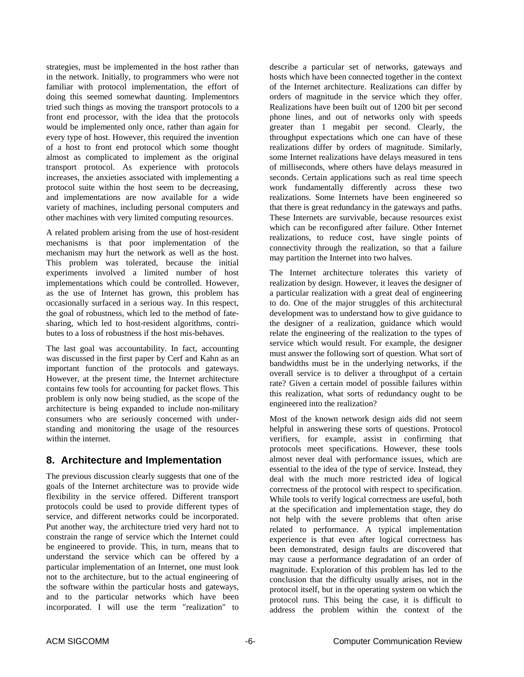strategies, must be implemented in the host rather than in the network. Initially, to programmers who were not familiar with protocol implementation, the effort of doing this seemed somewhat daunting. Implementors tried such things as moving the transport protocols to a front end processor, with the idea that the protocols would be implemented only once, rather than again for every type of host. However, this required the invention of a host to front end protocol which some thought almost as complicated to implement as the original transport protocol. As experience with protocols increases, the anxieties associated with implementing a protocol suite within the host seem to be decreasing, and implementations are now available for a wide variety of machines, including personal computers and other machines with very limited computing resources.

A related problem arising from the use of host-resident mechanisms is that poor implementation of the mechanism may hurt the network as well as the host. This problem was tolerated, because the initial experiments involved a limited number of host implementations which could be controlled. However, as the use of Internet has grown, this problem has occasionally surfaced in a serious way. In this respect, the goal of robustness, which led to the method of fatesharing, which led to host-resident algorithms, contributes to a loss of robustness if the host mis-behaves.

The last goal was accountability. In fact, accounting was discussed in the first paper by Cerf and Kahn as an important function of the protocols and gateways. However, at the present time, the Internet architecture contains few tools for accounting for packet flows. This problem is only now being studied, as the scope of the architecture is being expanded to include non-military consumers who are seriously concerned with understanding and monitoring the usage of the resources within the internet.

### **8. Architecture and Implementation**

The previous discussion clearly suggests that one of the goals of the Internet architecture was to provide wide flexibility in the service offered. Different transport protocols could be used to provide different types of service, and different networks could be incorporated. Put another way, the architecture tried very hard not to constrain the range of service which the Internet could be engineered to provide. This, in turn, means that to understand the service which can be offered by a particular implementation of an Internet, one must look not to the architecture, but to the actual engineering of the software within the particular hosts and gateways, and to the particular networks which have been incorporated. I will use the term "realization" to

describe a particular set of networks, gateways and hosts which have been connected together in the context of the Internet architecture. Realizations can differ by orders of magnitude in the service which they offer. Realizations have been built out of 1200 bit per second phone lines, and out of networks only with speeds greater than 1 megabit per second. Clearly, the throughput expectations which one can have of these realizations differ by orders of magnitude. Similarly, some Internet realizations have delays measured in tens of milliseconds, where others have delays measured in seconds. Certain applications such as real time speech work fundamentally differently across these two realizations. Some Internets have been engineered so that there is great redundancy in the gateways and paths. These Internets are survivable, because resources exist which can be reconfigured after failure. Other Internet realizations, to reduce cost, have single points of connectivity through the realization, so that a failure may partition the Internet into two halves.

The Internet architecture tolerates this variety of realization by design. However, it leaves the designer of a particular realization with a great deal of engineering to do. One of the major struggles of this architectural development was to understand how to give guidance to the designer of a realization, guidance which would relate the engineering of the realization to the types of service which would result. For example, the designer must answer the following sort of question. What sort of bandwidths must be in the underlying networks, if the overall service is to deliver a throughput of a certain rate? Given a certain model of possible failures within this realization, what sorts of redundancy ought to be engineered into the realization?

Most of the known network design aids did not seem helpful in answering these sorts of questions. Protocol verifiers, for example, assist in confirming that protocols meet specifications. However, these tools almost never deal with performance issues, which are essential to the idea of the type of service. Instead, they deal with the much more restricted idea of logical correctness of the protocol with respect to specification. While tools to verify logical correctness are useful, both at the specification and implementation stage, they do not help with the severe problems that often arise related to performance. A typical implementation experience is that even after logical correctness has been demonstrated, design faults are discovered that may cause a performance degradation of an order of magnitude. Exploration of this problem has led to the conclusion that the difficulty usually arises, not in the protocol itself, but in the operating system on which the protocol runs. This being the case, it is difficult to address the problem within the context of the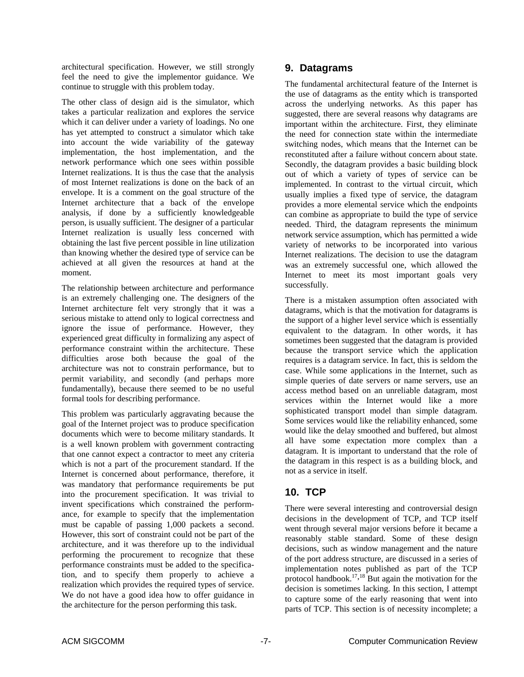architectural specification. However, we still strongly feel the need to give the implementor guidance. We continue to struggle with this problem today.

The other class of design aid is the simulator, which takes a particular realization and explores the service which it can deliver under a variety of loadings. No one has yet attempted to construct a simulator which take into account the wide variability of the gateway implementation, the host implementation, and the network performance which one sees within possible Internet realizations. It is thus the case that the analysis of most Internet realizations is done on the back of an envelope. It is a comment on the goal structure of the Internet architecture that a back of the envelope analysis, if done by a sufficiently knowledgeable person, is usually sufficient. The designer of a particular Internet realization is usually less concerned with obtaining the last five percent possible in line utilization than knowing whether the desired type of service can be achieved at all given the resources at hand at the moment.

The relationship between architecture and performance is an extremely challenging one. The designers of the Internet architecture felt very strongly that it was a serious mistake to attend only to logical correctness and ignore the issue of performance. However, they experienced great difficulty in formalizing any aspect of performance constraint within the architecture. These difficulties arose both because the goal of the architecture was not to constrain performance, but to permit variability, and secondly (and perhaps more fundamentally), because there seemed to be no useful formal tools for describing performance.

This problem was particularly aggravating because the goal of the Internet project was to produce specification documents which were to become military standards. It is a well known problem with government contracting that one cannot expect a contractor to meet any criteria which is not a part of the procurement standard. If the Internet is concerned about performance, therefore, it was mandatory that performance requirements be put into the procurement specification. It was trivial to invent specifications which constrained the performance, for example to specify that the implementation must be capable of passing 1,000 packets a second. However, this sort of constraint could not be part of the architecture, and it was therefore up to the individual performing the procurement to recognize that these performance constraints must be added to the specification, and to specify them properly to achieve a realization which provides the required types of service. We do not have a good idea how to offer guidance in the architecture for the person performing this task.

### **9. Datagrams**

The fundamental architectural feature of the Internet is the use of datagrams as the entity which is transported across the underlying networks. As this paper has suggested, there are several reasons why datagrams are important within the architecture. First, they eliminate the need for connection state within the intermediate switching nodes, which means that the Internet can be reconstituted after a failure without concern about state. Secondly, the datagram provides a basic building block out of which a variety of types of service can be implemented. In contrast to the virtual circuit, which usually implies a fixed type of service, the datagram provides a more elemental service which the endpoints can combine as appropriate to build the type of service needed. Third, the datagram represents the minimum network service assumption, which has permitted a wide variety of networks to be incorporated into various Internet realizations. The decision to use the datagram was an extremely successful one, which allowed the Internet to meet its most important goals very successfully.

There is a mistaken assumption often associated with datagrams, which is that the motivation for datagrams is the support of a higher level service which is essentially equivalent to the datagram. In other words, it has sometimes been suggested that the datagram is provided because the transport service which the application requires is a datagram service. In fact, this is seldom the case. While some applications in the Internet, such as simple queries of date servers or name servers, use an access method based on an unreliable datagram, most services within the Internet would like a more sophisticated transport model than simple datagram. Some services would like the reliability enhanced, some would like the delay smoothed and buffered, but almost all have some expectation more complex than a datagram. It is important to understand that the role of the datagram in this respect is as a building block, and not as a service in itself.

# **10. TCP**

There were several interesting and controversial design decisions in the development of TCP, and TCP itself went through several major versions before it became a reasonably stable standard. Some of these design decisions, such as window management and the nature of the port address structure, are discussed in a series of implementation notes published as part of the TCP protocol handbook.<sup>17,18</sup> But again the motivation for the decision is sometimes lacking. In this section, I attempt to capture some of the early reasoning that went into parts of TCP. This section is of necessity incomplete; a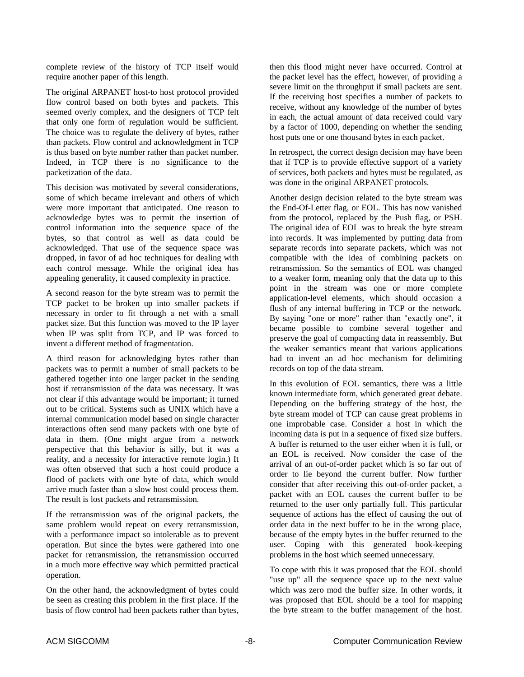complete review of the history of TCP itself would require another paper of this length.

The original ARPANET host-to host protocol provided flow control based on both bytes and packets. This seemed overly complex, and the designers of TCP felt that only one form of regulation would be sufficient. The choice was to regulate the delivery of bytes, rather than packets. Flow control and acknowledgment in TCP is thus based on byte number rather than packet number. Indeed, in TCP there is no significance to the packetization of the data.

This decision was motivated by several considerations, some of which became irrelevant and others of which were more important that anticipated. One reason to acknowledge bytes was to permit the insertion of control information into the sequence space of the bytes, so that control as well as data could be acknowledged. That use of the sequence space was dropped, in favor of ad hoc techniques for dealing with each control message. While the original idea has appealing generality, it caused complexity in practice.

A second reason for the byte stream was to permit the TCP packet to be broken up into smaller packets if necessary in order to fit through a net with a small packet size. But this function was moved to the IP layer when IP was split from TCP, and IP was forced to invent a different method of fragmentation.

A third reason for acknowledging bytes rather than packets was to permit a number of small packets to be gathered together into one larger packet in the sending host if retransmission of the data was necessary. It was not clear if this advantage would be important; it turned out to be critical. Systems such as UNIX which have a internal communication model based on single character interactions often send many packets with one byte of data in them. (One might argue from a network perspective that this behavior is silly, but it was a reality, and a necessity for interactive remote login.) It was often observed that such a host could produce a flood of packets with one byte of data, which would arrive much faster than a slow host could process them. The result is lost packets and retransmission.

If the retransmission was of the original packets, the same problem would repeat on every retransmission, with a performance impact so intolerable as to prevent operation. But since the bytes were gathered into one packet for retransmission, the retransmission occurred in a much more effective way which permitted practical operation.

On the other hand, the acknowledgment of bytes could be seen as creating this problem in the first place. If the basis of flow control had been packets rather than bytes, then this flood might never have occurred. Control at the packet level has the effect, however, of providing a severe limit on the throughput if small packets are sent. If the receiving host specifies a number of packets to receive, without any knowledge of the number of bytes in each, the actual amount of data received could vary by a factor of 1000, depending on whether the sending host puts one or one thousand bytes in each packet.

In retrospect, the correct design decision may have been that if TCP is to provide effective support of a variety of services, both packets and bytes must be regulated, as was done in the original ARPANET protocols.

Another design decision related to the byte stream was the End-Of-Letter flag, or EOL. This has now vanished from the protocol, replaced by the Push flag, or PSH. The original idea of EOL was to break the byte stream into records. It was implemented by putting data from separate records into separate packets, which was not compatible with the idea of combining packets on retransmission. So the semantics of EOL was changed to a weaker form, meaning only that the data up to this point in the stream was one or more complete application-level elements, which should occasion a flush of any internal buffering in TCP or the network. By saying "one or more" rather than "exactly one", it became possible to combine several together and preserve the goal of compacting data in reassembly. But the weaker semantics meant that various applications had to invent an ad hoc mechanism for delimiting records on top of the data stream.

In this evolution of EOL semantics, there was a little known intermediate form, which generated great debate. Depending on the buffering strategy of the host, the byte stream model of TCP can cause great problems in one improbable case. Consider a host in which the incoming data is put in a sequence of fixed size buffers. A buffer is returned to the user either when it is full, or an EOL is received. Now consider the case of the arrival of an out-of-order packet which is so far out of order to lie beyond the current buffer. Now further consider that after receiving this out-of-order packet, a packet with an EOL causes the current buffer to be returned to the user only partially full. This particular sequence of actions has the effect of causing the out of order data in the next buffer to be in the wrong place, because of the empty bytes in the buffer returned to the user. Coping with this generated book-keeping problems in the host which seemed unnecessary.

To cope with this it was proposed that the EOL should "use up" all the sequence space up to the next value which was zero mod the buffer size. In other words, it was proposed that EOL should be a tool for mapping the byte stream to the buffer management of the host.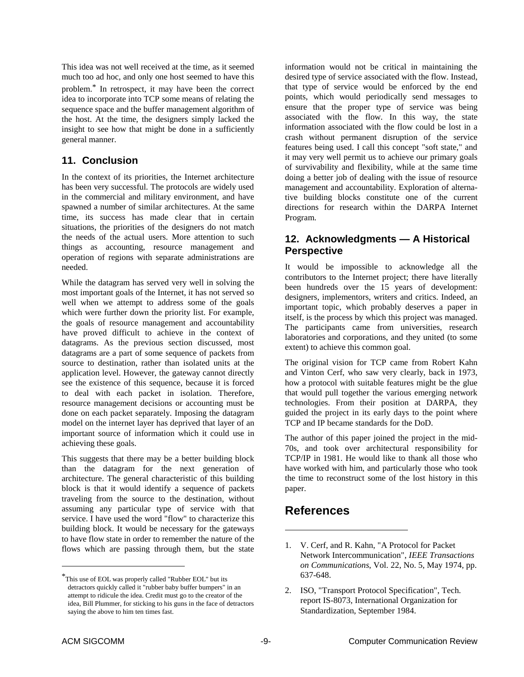This idea was not well received at the time, as it seemed much too ad hoc, and only one host seemed to have this problem.\* In retrospect, it may have been the correct idea to incorporate into TCP some means of relating the sequence space and the buffer management algorithm of the host. At the time, the designers simply lacked the insight to see how that might be done in a sufficiently general manner.

### **11. Conclusion**

In the context of its priorities, the Internet architecture has been very successful. The protocols are widely used in the commercial and military environment, and have spawned a number of similar architectures. At the same time, its success has made clear that in certain situations, the priorities of the designers do not match the needs of the actual users. More attention to such things as accounting, resource management and operation of regions with separate administrations are needed.

While the datagram has served very well in solving the most important goals of the Internet, it has not served so well when we attempt to address some of the goals which were further down the priority list. For example, the goals of resource management and accountability have proved difficult to achieve in the context of datagrams. As the previous section discussed, most datagrams are a part of some sequence of packets from source to destination, rather than isolated units at the application level. However, the gateway cannot directly see the existence of this sequence, because it is forced to deal with each packet in isolation. Therefore, resource management decisions or accounting must be done on each packet separately. Imposing the datagram model on the internet layer has deprived that layer of an important source of information which it could use in achieving these goals.

This suggests that there may be a better building block than the datagram for the next generation of architecture. The general characteristic of this building block is that it would identify a sequence of packets traveling from the source to the destination, without assuming any particular type of service with that service. I have used the word "flow" to characterize this building block. It would be necessary for the gateways to have flow state in order to remember the nature of the flows which are passing through them, but the state information would not be critical in maintaining the desired type of service associated with the flow. Instead, that type of service would be enforced by the end points, which would periodically send messages to ensure that the proper type of service was being associated with the flow. In this way, the state information associated with the flow could be lost in a crash without permanent disruption of the service features being used. I call this concept "soft state," and it may very well permit us to achieve our primary goals of survivability and flexibility, while at the same time doing a better job of dealing with the issue of resource management and accountability. Exploration of alternative building blocks constitute one of the current directions for research within the DARPA Internet Program.

### **12. Acknowledgments — A Historical Perspective**

It would be impossible to acknowledge all the contributors to the Internet project; there have literally been hundreds over the 15 years of development: designers, implementors, writers and critics. Indeed, an important topic, which probably deserves a paper in itself, is the process by which this project was managed. The participants came from universities, research laboratories and corporations, and they united (to some extent) to achieve this common goal.

The original vision for TCP came from Robert Kahn and Vinton Cerf, who saw very clearly, back in 1973, how a protocol with suitable features might be the glue that would pull together the various emerging network technologies. From their position at DARPA, they guided the project in its early days to the point where TCP and IP became standards for the DoD.

The author of this paper joined the project in the mid-70s, and took over architectural responsibility for TCP/IP in 1981. He would like to thank all those who have worked with him, and particularly those who took the time to reconstruct some of the lost history in this paper.

# **References**

 $\overline{a}$ 

- 1. V. Cerf, and R. Kahn, "A Protocol for Packet Network Intercommunication", *IEEE Transactions on Communications*, Vol. 22, No. 5, May 1974, pp. 637-648.
- 2. ISO, "Transport Protocol Specification", Tech. report IS-8073, International Organization for Standardization, September 1984.

 $\overline{a}$ 

<sup>\*</sup>This use of EOL was properly called "Rubber EOL" but its detractors quickly called it "rubber baby buffer bumpers" in an attempt to ridicule the idea. Credit must go to the creator of the idea, Bill Plummer, for sticking to his guns in the face of detractors saying the above to him ten times fast.